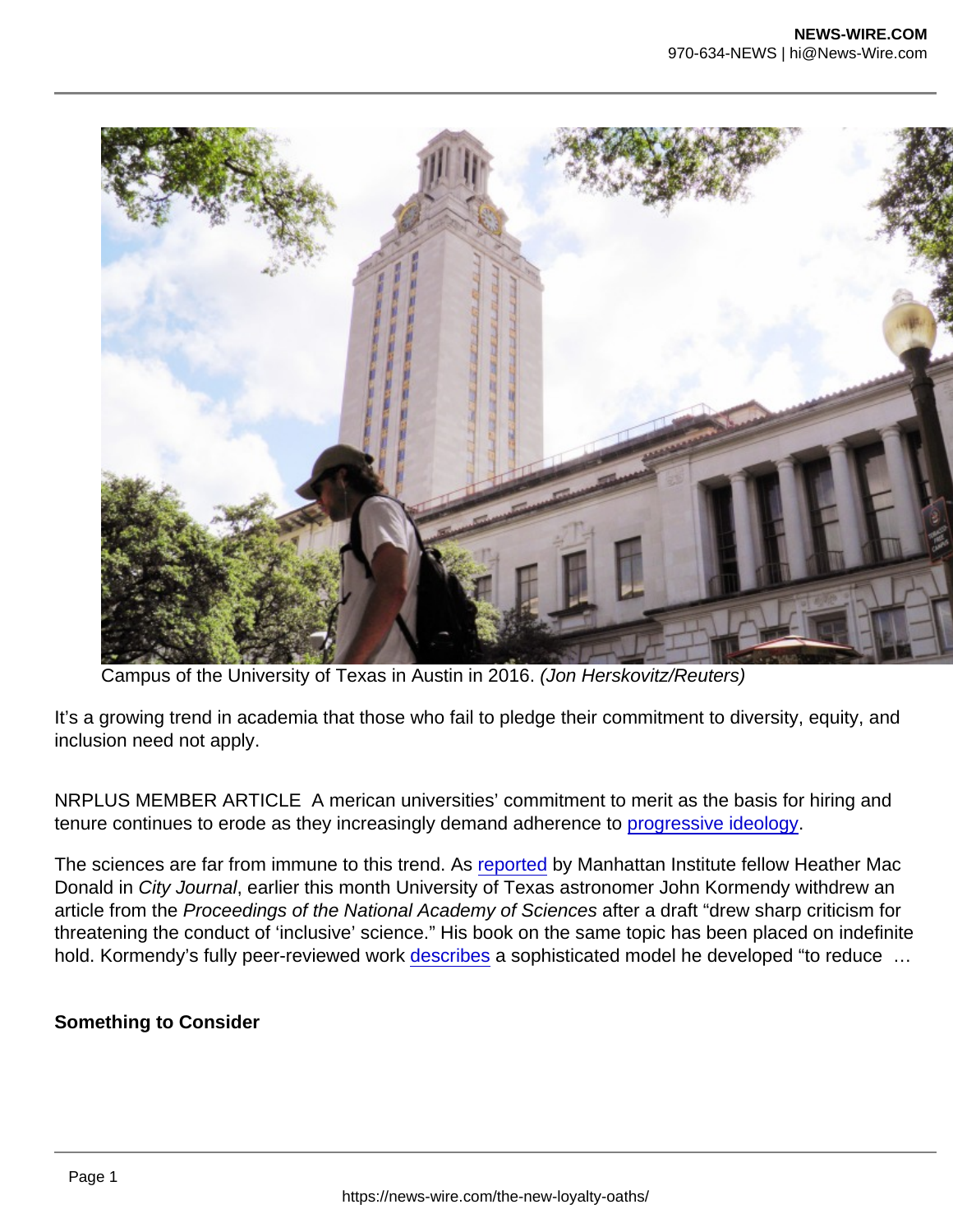Campus of the University of Texas in Austin in 2016. (Jon Herskovitz/Reuters)

It's a growing trend in academia that those who fail to pledge their commitment to diversity, equity, and inclusion need not apply.

NRPLUS MEMBER ARTICLE A merican universities' commitment to merit as the basis for hiring and tenure continues to erode as they increasingly demand adherence to [progressive ideology](https://www.nationalreview.com/2021/10/do-universities-still-care-about-truth/).

The sciences are far from immune to this trend. As [reported](https://www.city-journal.org/scientific-merit-and-the-equity-cult) by Manhattan Institute fellow Heather Mac Donald in City Journal, earlier this month University of Texas astronomer John Kormendy withdrew an article from the Proceedings of the National Academy of Sciences after a draft "drew sharp criticism for threatening the conduct of 'inclusive' science." His book on the same topic has been placed on indefinite hold. Kormendy's fully peer-reviewed work [describes](https://arxiv.org/pdf/2110.14115v2.pdf) a sophisticated model he developed "to reduce ...

Something to Consider